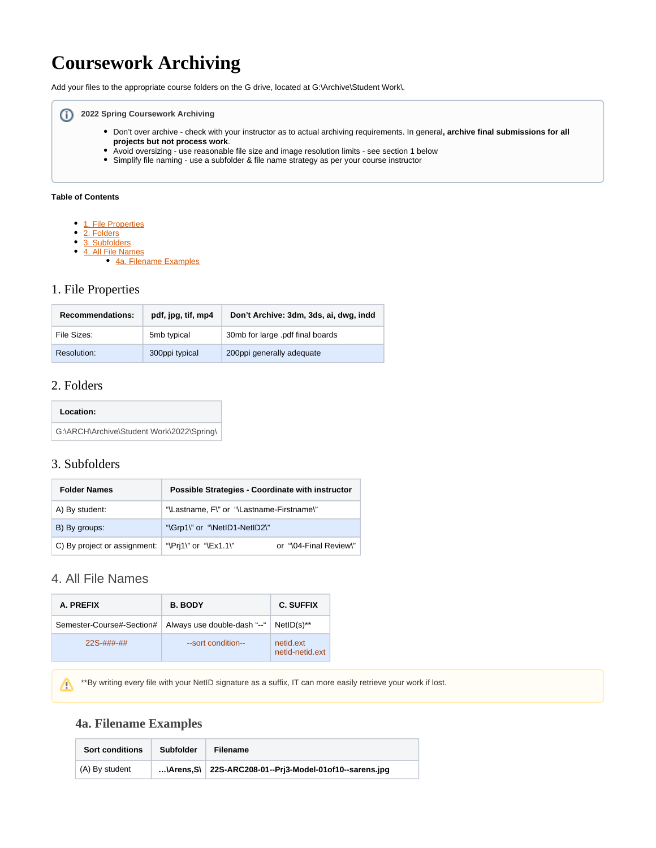# **Coursework Archiving**

Add your files to the appropriate course folders on the G drive, located at G:\Archive\Student Work\.

#### **2022 Spring Coursework Archiving**

- Don't over archive check with your instructor as to actual archiving requirements. In general**, archive final submissions for all projects but not process work**.
- Avoid oversizing use reasonable file size and image resolution limits see section 1 below
- Simplify file naming use a subfolder & file name strategy as per your course instructor

#### **Table of Contents**

- [1. File Properties](#page-0-0)
- [2. Folders](#page-0-1)
- [3. Subfolders](#page-0-2)
- [4. All File Names](#page-0-3)
	- [4a. Filename Examples](#page-0-4)

#### <span id="page-0-0"></span>1. File Properties

| <b>Recommendations:</b> | pdf, jpg, tif, mp4 | Don't Archive: 3dm, 3ds, ai, dwg, indd |
|-------------------------|--------------------|----------------------------------------|
| File Sizes:             | 5mb typical        | 30mb for large .pdf final boards       |
| Resolution:             | 300ppi typical     | 200ppi generally adequate              |

#### <span id="page-0-1"></span>2. Folders

| Location:                                 |
|-------------------------------------------|
| G:\ARCH\Archive\Student Work\2022\Spring\ |

#### <span id="page-0-2"></span>3. Subfolders

| <b>Folder Names</b>                                                   | Possible Strategies - Coordinate with instructor |                        |
|-----------------------------------------------------------------------|--------------------------------------------------|------------------------|
| A) By student:                                                        | "\Lastname, F\" or "\Lastname-Firstname\"        |                        |
| B) By groups:                                                         | "\Grp1\" or "\NetID1-NetID2\"                    |                        |
| C) By project or assignment: $\Vert \Psi \Vert$ "\Pri1\" or "\Ex1.1\" |                                                  | or "\04-Final Review\" |

## <span id="page-0-3"></span>4. All File Names

<span id="page-0-4"></span>Λ

| A. PREFIX                 | <b>B. BODY</b>              | <b>C. SUFFIX</b>             |
|---------------------------|-----------------------------|------------------------------|
| Semester-Course#-Section# | Always use double-dash "--" | $NetID(s)$ **                |
| 22S-###-##                | --sort condition--          | netid.ext<br>netid-netid.ext |

\*\*By writing every file with your NetID signature as a suffix, IT can more easily retrieve your work if lost.

### **4a. Filename Examples**

| <b>Sort conditions</b> | Subfolder | <b>Filename</b>                                                   |
|------------------------|-----------|-------------------------------------------------------------------|
| (A) By student         |           | $\text{Arens}, S \mid 22S-ARC208-01-Pri3-Model-010f10-sarens.jpg$ |